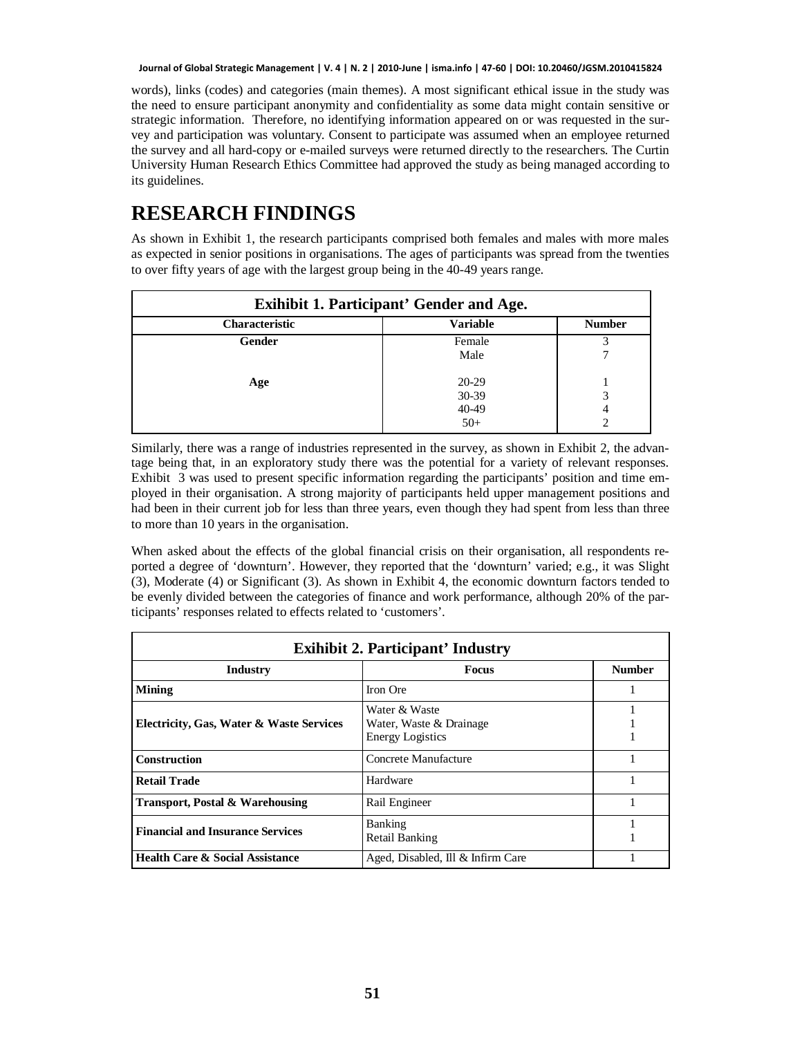words), links (codes) and categories (main themes). A most significant ethical issue in the study was the need to ensure participant anonymity and confidentiality as some data might contain sensitive or strategic information. Therefore, no identifying information appeared on or was requested in the survey and participation was voluntary. Consent to participate was assumed when an employee returned the survey and all hard-copy or e-mailed surveys were returned directly to the researchers. The Curtin University Human Research Ethics Committee had approved the study as being managed according to its guidelines.

# **RESEARCH FINDINGS**

As shown in Exhibit 1, the research participants comprised both females and males with more males as expected in senior positions in organisations. The ages of participants was spread from the twenties to over fifty years of age with the largest group being in the 40-49 years range.

| <b>Exihibit 1. Participant' Gender and Age.</b>    |         |   |  |
|----------------------------------------------------|---------|---|--|
| Characteristic<br><b>Variable</b><br><b>Number</b> |         |   |  |
| Gender                                             | Female  |   |  |
|                                                    | Male    |   |  |
| Age                                                | $20-29$ |   |  |
|                                                    | 30-39   | 3 |  |
|                                                    | 40-49   | 4 |  |
|                                                    | $50+$   |   |  |

Similarly, there was a range of industries represented in the survey, as shown in Exhibit 2, the advantage being that, in an exploratory study there was the potential for a variety of relevant responses. Exhibit 3 was used to present specific information regarding the participants' position and time employed in their organisation. A strong majority of participants held upper management positions and had been in their current job for less than three years, even though they had spent from less than three to more than 10 years in the organisation.

When asked about the effects of the global financial crisis on their organisation, all respondents reported a degree of 'downturn'. However, they reported that the 'downturn' varied; e.g., it was Slight (3), Moderate (4) or Significant (3). As shown in Exhibit 4, the economic downturn factors tended to be evenly divided between the categories of finance and work performance, although 20% of the participants' responses related to effects related to 'customers'.

| <b>Exihibit 2. Participant' Industry</b>   |                                                                     |               |
|--------------------------------------------|---------------------------------------------------------------------|---------------|
| Industry<br><b>Focus</b>                   |                                                                     | <b>Number</b> |
| <b>Mining</b>                              | Iron Ore                                                            |               |
| Electricity, Gas, Water & Waste Services   | Water & Waste<br>Water, Waste & Drainage<br><b>Energy Logistics</b> |               |
| <b>Construction</b>                        | Concrete Manufacture                                                |               |
| <b>Retail Trade</b>                        | Hardware                                                            |               |
| <b>Transport, Postal &amp; Warehousing</b> | Rail Engineer                                                       |               |
| <b>Financial and Insurance Services</b>    | Banking<br><b>Retail Banking</b>                                    |               |
| <b>Health Care &amp; Social Assistance</b> | Aged, Disabled, Ill & Infirm Care                                   |               |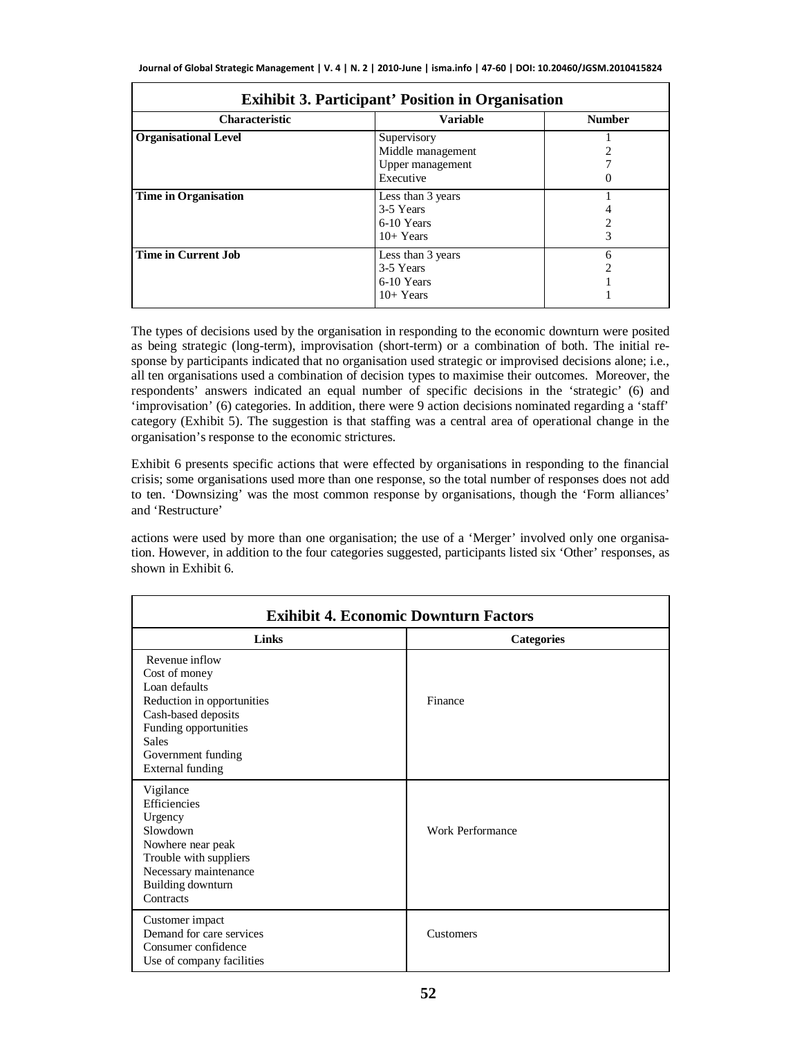| <b>Exihibit 3. Participant' Position in Organisation</b> |                                                                   |               |
|----------------------------------------------------------|-------------------------------------------------------------------|---------------|
| <b>Characteristic</b>                                    | <b>Variable</b>                                                   | <b>Number</b> |
| <b>Organisational Level</b>                              | Supervisory<br>Middle management<br>Upper management<br>Executive | O             |
| <b>Time in Organisation</b>                              | Less than 3 years<br>3-5 Years<br>6-10 Years<br>$10+Years$        | 3             |
| <b>Time in Current Job</b>                               | Less than 3 years<br>3-5 Years<br>6-10 Years<br>$10+Years$        | 6             |

The types of decisions used by the organisation in responding to the economic downturn were posited as being strategic (long-term), improvisation (short-term) or a combination of both. The initial response by participants indicated that no organisation used strategic or improvised decisions alone; i.e., all ten organisations used a combination of decision types to maximise their outcomes. Moreover, the respondents' answers indicated an equal number of specific decisions in the 'strategic' (6) and 'improvisation' (6) categories. In addition, there were 9 action decisions nominated regarding a 'staff' category (Exhibit 5). The suggestion is that staffing was a central area of operational change in the organisation's response to the economic strictures.

Exhibit 6 presents specific actions that were effected by organisations in responding to the financial crisis; some organisations used more than one response, so the total number of responses does not add to ten. 'Downsizing' was the most common response by organisations, though the 'Form alliances' and 'Restructure'

actions were used by more than one organisation; the use of a 'Merger' involved only one organisation. However, in addition to the four categories suggested, participants listed six 'Other' responses, as shown in Exhibit 6.

| <b>Exihibit 4. Economic Downturn Factors</b>                                                                                                                                             |                   |  |
|------------------------------------------------------------------------------------------------------------------------------------------------------------------------------------------|-------------------|--|
| Links                                                                                                                                                                                    | <b>Categories</b> |  |
| Revenue inflow<br>Cost of money<br>Loan defaults<br>Reduction in opportunities<br>Cash-based deposits<br>Funding opportunities<br><b>Sales</b><br>Government funding<br>External funding | Finance           |  |
| Vigilance<br>Efficiencies<br>Urgency<br>Slowdown<br>Nowhere near peak<br>Trouble with suppliers<br>Necessary maintenance<br>Building downturn<br>Contracts                               | Work Performance  |  |
| Customer impact<br>Demand for care services<br>Consumer confidence<br>Use of company facilities                                                                                          | Customers         |  |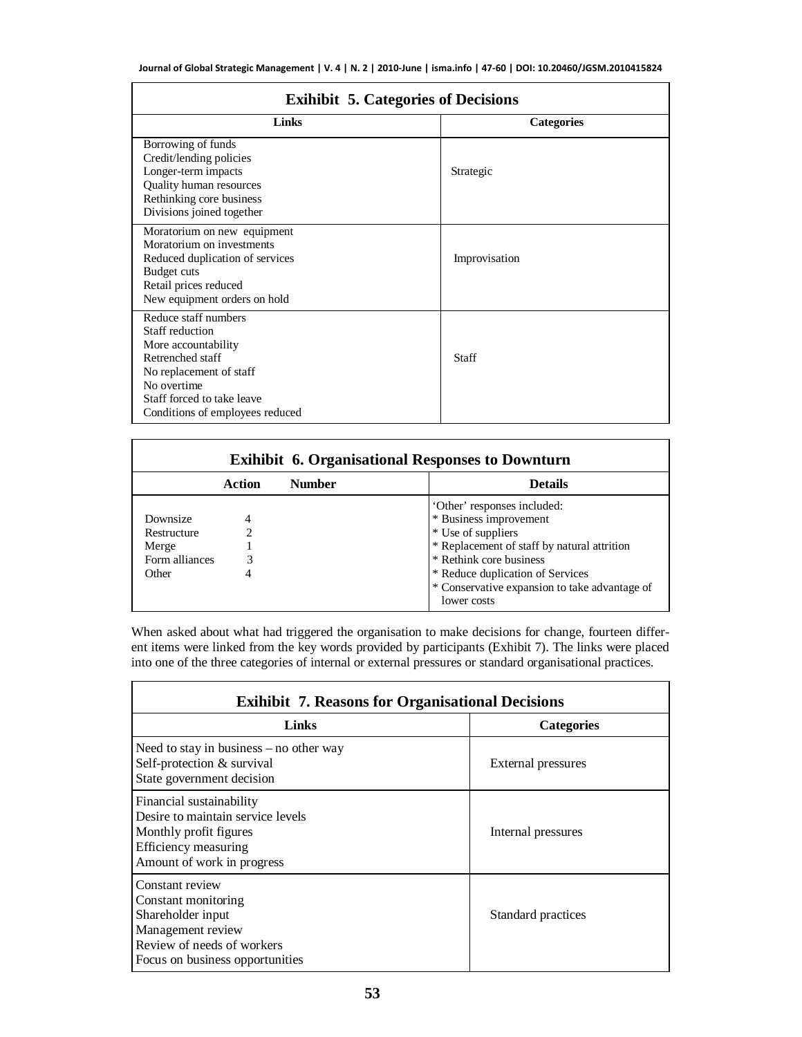| <b>Exihibit 5. Categories of Decisions</b>                                                                                                                                                    |                   |  |
|-----------------------------------------------------------------------------------------------------------------------------------------------------------------------------------------------|-------------------|--|
| Links                                                                                                                                                                                         | <b>Categories</b> |  |
| Borrowing of funds<br>Credit/lending policies<br>Longer-term impacts<br><b>Quality human resources</b><br>Rethinking core business<br>Divisions joined together                               | Strategic         |  |
| Moratorium on new equipment<br>Moratorium on investments<br>Reduced duplication of services<br>Budget cuts<br>Retail prices reduced<br>New equipment orders on hold                           | Improvisation     |  |
| Reduce staff numbers<br>Staff reduction<br>More accountability<br>Retrenched staff<br>No replacement of staff<br>No overtime<br>Staff forced to take leave<br>Conditions of employees reduced | <b>Staff</b>      |  |

| <b>Exihibit 6. Organisational Responses to Downturn</b> |        |               |                                                              |
|---------------------------------------------------------|--------|---------------|--------------------------------------------------------------|
|                                                         | Action | <b>Number</b> | <b>Details</b>                                               |
|                                                         |        |               | 'Other' responses included:                                  |
| Downsize                                                | 4      |               | * Business improvement                                       |
| Restructure                                             |        |               | * Use of suppliers                                           |
| Merge                                                   |        |               | * Replacement of staff by natural attrition                  |
| Form alliances                                          |        |               | * Rethink core business                                      |
| Other                                                   | 4      |               | * Reduce duplication of Services                             |
|                                                         |        |               | * Conservative expansion to take advantage of<br>lower costs |

When asked about what had triggered the organisation to make decisions for change, fourteen different items were linked from the key words provided by participants (Exhibit 7). The links were placed into one of the three categories of internal or external pressures or standard organisational practices.

| <b>Exihibit 7. Reasons for Organisational Decisions</b>                                                                                           |                    |  |
|---------------------------------------------------------------------------------------------------------------------------------------------------|--------------------|--|
| Links                                                                                                                                             | <b>Categories</b>  |  |
| Need to stay in business $-$ no other way<br>Self-protection & survival<br>State government decision                                              | External pressures |  |
| Financial sustainability<br>Desire to maintain service levels<br>Monthly profit figures<br>Efficiency measuring<br>Amount of work in progress     | Internal pressures |  |
| Constant review<br>Constant monitoring<br>Shareholder input<br>Management review<br>Review of needs of workers<br>Focus on business opportunities | Standard practices |  |

## **Exihibit 5. Categories of Decisions**

 $\overline{ }$ 

**F**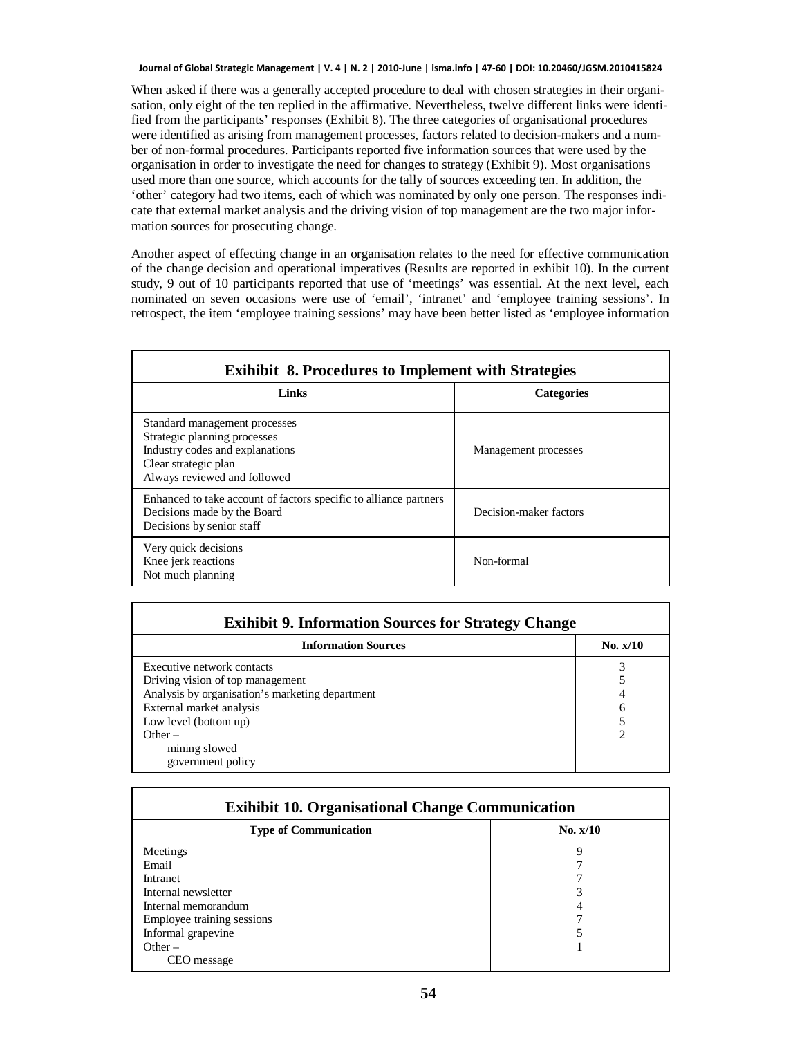When asked if there was a generally accepted procedure to deal with chosen strategies in their organisation, only eight of the ten replied in the affirmative. Nevertheless, twelve different links were identified from the participants' responses (Exhibit 8). The three categories of organisational procedures were identified as arising from management processes, factors related to decision-makers and a number of non-formal procedures. Participants reported five information sources that were used by the organisation in order to investigate the need for changes to strategy (Exhibit 9). Most organisations used more than one source, which accounts for the tally of sources exceeding ten. In addition, the 'other' category had two items, each of which was nominated by only one person. The responses indicate that external market analysis and the driving vision of top management are the two major information sources for prosecuting change.

Another aspect of effecting change in an organisation relates to the need for effective communication of the change decision and operational imperatives (Results are reported in exhibit 10). In the current study, 9 out of 10 participants reported that use of 'meetings' was essential. At the next level, each nominated on seven occasions were use of 'email', 'intranet' and 'employee training sessions'. In retrospect, the item 'employee training sessions' may have been better listed as 'employee information

| <b>Exihibit 8. Procedures to Implement with Strategies</b>                                                                                               |                        |  |
|----------------------------------------------------------------------------------------------------------------------------------------------------------|------------------------|--|
| Links                                                                                                                                                    | <b>Categories</b>      |  |
| Standard management processes<br>Strategic planning processes<br>Industry codes and explanations<br>Clear strategic plan<br>Always reviewed and followed | Management processes   |  |
| Enhanced to take account of factors specific to alliance partners<br>Decisions made by the Board<br>Decisions by senior staff                            | Decision-maker factors |  |
| Very quick decisions<br>Knee jerk reactions<br>Not much planning                                                                                         | Non-formal             |  |

| <b>Exihibit 9. Information Sources for Strategy Change</b> |            |  |
|------------------------------------------------------------|------------|--|
| <b>Information Sources</b>                                 | No. $x/10$ |  |
| Executive network contacts                                 |            |  |
| Driving vision of top management                           |            |  |
| Analysis by organisation's marketing department            |            |  |
| External market analysis                                   | 6          |  |
| Low level (bottom up)                                      |            |  |
| $Other -$                                                  | ↑          |  |
| mining slowed                                              |            |  |
| government policy                                          |            |  |

| <b>Exihibit 10. Organisational Change Communication</b> |            |  |
|---------------------------------------------------------|------------|--|
| <b>Type of Communication</b>                            | No. $x/10$ |  |
| Meetings                                                | 9          |  |
| Email                                                   |            |  |
| Intranet                                                |            |  |
| Internal newsletter                                     |            |  |
| Internal memorandum                                     |            |  |
| Employee training sessions                              |            |  |
| Informal grapevine                                      |            |  |
| Other $-$                                               |            |  |
| CEO message                                             |            |  |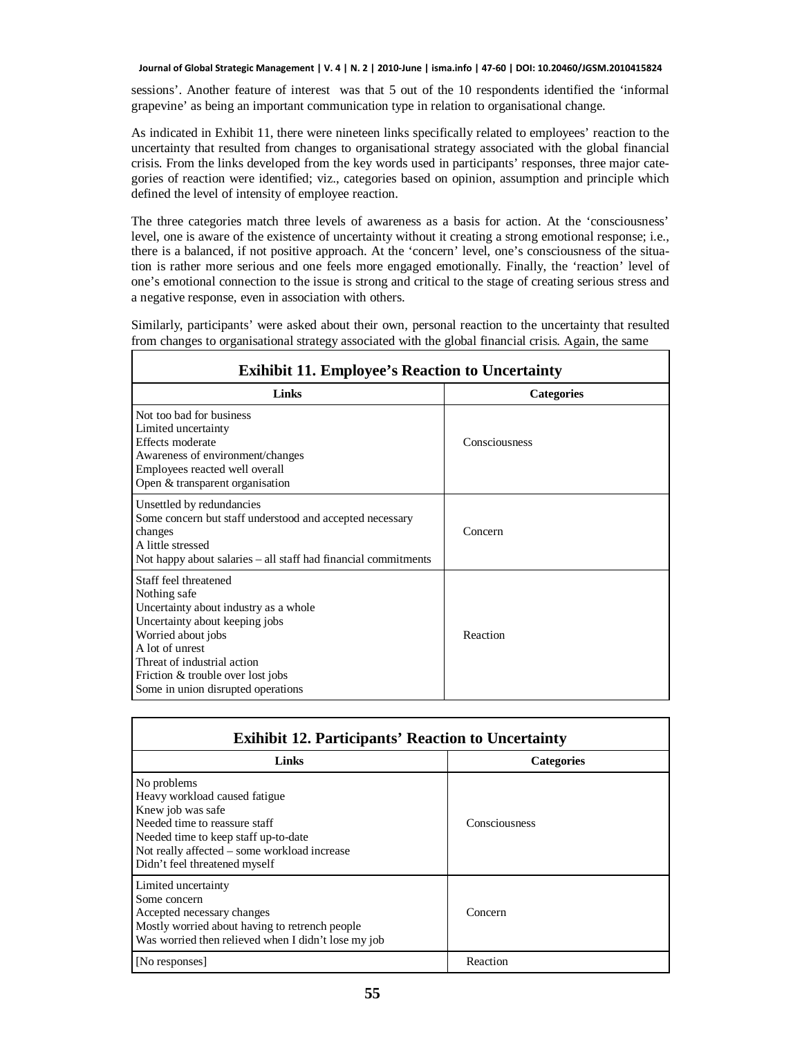sessions'. Another feature of interest was that 5 out of the 10 respondents identified the 'informal grapevine' as being an important communication type in relation to organisational change.

As indicated in Exhibit 11, there were nineteen links specifically related to employees' reaction to the uncertainty that resulted from changes to organisational strategy associated with the global financial crisis. From the links developed from the key words used in participants' responses, three major categories of reaction were identified; viz., categories based on opinion, assumption and principle which defined the level of intensity of employee reaction.

The three categories match three levels of awareness as a basis for action. At the 'consciousness' level, one is aware of the existence of uncertainty without it creating a strong emotional response; i.e., there is a balanced, if not positive approach. At the 'concern' level, one's consciousness of the situation is rather more serious and one feels more engaged emotionally. Finally, the 'reaction' level of one's emotional connection to the issue is strong and critical to the stage of creating serious stress and a negative response, even in association with others.

Similarly, participants' were asked about their own, personal reaction to the uncertainty that resulted from changes to organisational strategy associated with the global financial crisis. Again, the same

 $\mathsf I$ 

| <b>Exihibit 11. Employee's Reaction to Uncertainty</b>                                                                                                                                                                                                               |                   |  |
|----------------------------------------------------------------------------------------------------------------------------------------------------------------------------------------------------------------------------------------------------------------------|-------------------|--|
| Links                                                                                                                                                                                                                                                                | <b>Categories</b> |  |
| Not too bad for business<br>Limited uncertainty<br>Effects moderate<br>Awareness of environment/changes<br>Employees reacted well overall<br>Open & transparent organisation                                                                                         | Consciousness     |  |
| Unsettled by redundancies<br>Some concern but staff understood and accepted necessary<br>changes<br>A little stressed<br>Not happy about salaries – all staff had financial commitments                                                                              | Concern           |  |
| Staff feel threatened<br>Nothing safe<br>Uncertainty about industry as a whole.<br>Uncertainty about keeping jobs<br>Worried about jobs<br>A lot of unrest<br>Threat of industrial action<br>Friction & trouble over lost jobs<br>Some in union disrupted operations | Reaction          |  |

| <b>Exihibit 12. Participants' Reaction to Uncertainty</b>                                                                                                                                                                   |                   |  |
|-----------------------------------------------------------------------------------------------------------------------------------------------------------------------------------------------------------------------------|-------------------|--|
| Links                                                                                                                                                                                                                       | <b>Categories</b> |  |
| No problems<br>Heavy workload caused fatigue<br>Knew job was safe<br>Needed time to reassure staff<br>Needed time to keep staff up-to-date<br>Not really affected – some workload increase<br>Didn't feel threatened myself | Consciousness     |  |
| Limited uncertainty<br>Some concern<br>Accepted necessary changes<br>Mostly worried about having to retrench people.<br>Was worried then relieved when I didn't lose my job                                                 | Concern           |  |
| [No responses]                                                                                                                                                                                                              | Reaction          |  |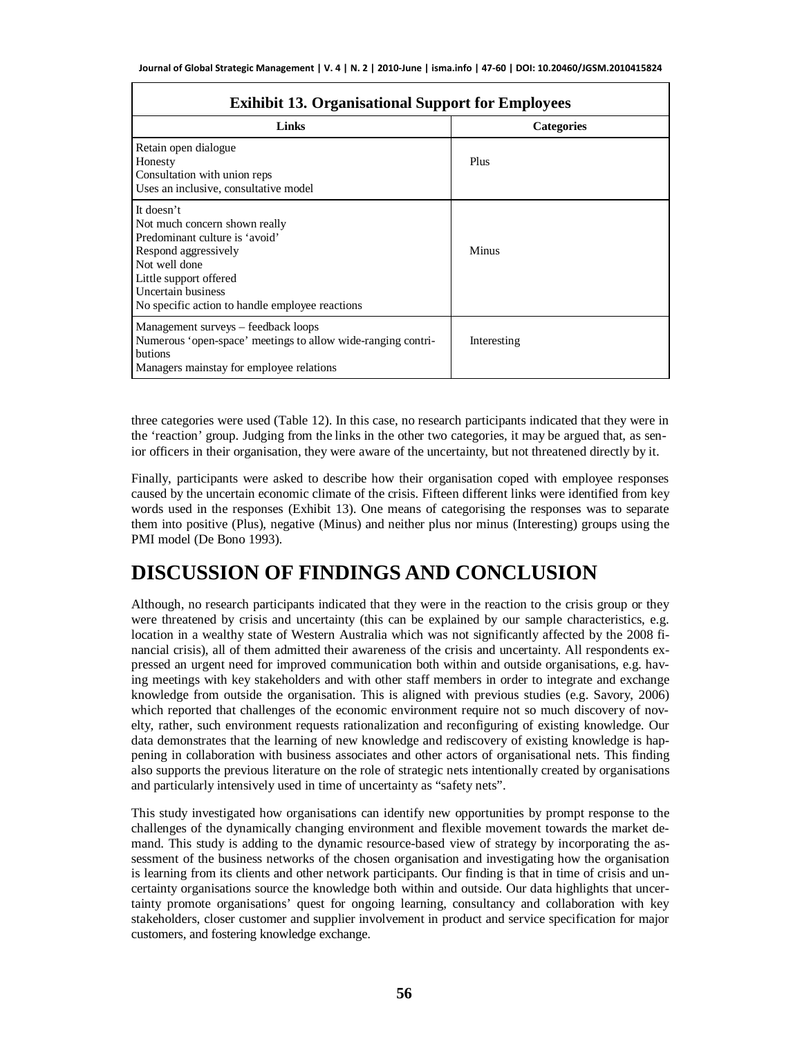| <b>Exihibit 13. Organisational Support for Employees</b>                                                                                                                                                                  |                   |
|---------------------------------------------------------------------------------------------------------------------------------------------------------------------------------------------------------------------------|-------------------|
| Links                                                                                                                                                                                                                     | <b>Categories</b> |
| Retain open dialogue<br>Honesty<br>Consultation with union reps<br>Uses an inclusive, consultative model                                                                                                                  | Plus              |
| It doesn't<br>Not much concern shown really<br>Predominant culture is 'avoid'<br>Respond aggressively<br>Not well done<br>Little support offered<br>Uncertain business<br>No specific action to handle employee reactions | Minus             |
| Management surveys - feedback loops<br>Numerous 'open-space' meetings to allow wide-ranging contri-<br>butions<br>Managers mainstay for employee relations                                                                | Interesting       |

three categories were used (Table 12). In this case, no research participants indicated that they were in the 'reaction' group. Judging from the links in the other two categories, it may be argued that, as senior officers in their organisation, they were aware of the uncertainty, but not threatened directly by it.

Finally, participants were asked to describe how their organisation coped with employee responses caused by the uncertain economic climate of the crisis. Fifteen different links were identified from key words used in the responses (Exhibit 13). One means of categorising the responses was to separate them into positive (Plus), negative (Minus) and neither plus nor minus (Interesting) groups using the PMI model (De Bono 1993).

## **DISCUSSION OF FINDINGS AND CONCLUSION**

Although, no research participants indicated that they were in the reaction to the crisis group or they were threatened by crisis and uncertainty (this can be explained by our sample characteristics, e.g. location in a wealthy state of Western Australia which was not significantly affected by the 2008 financial crisis), all of them admitted their awareness of the crisis and uncertainty. All respondents expressed an urgent need for improved communication both within and outside organisations, e.g. having meetings with key stakeholders and with other staff members in order to integrate and exchange knowledge from outside the organisation. This is aligned with previous studies (e.g. Savory, 2006) which reported that challenges of the economic environment require not so much discovery of novelty, rather, such environment requests rationalization and reconfiguring of existing knowledge. Our data demonstrates that the learning of new knowledge and rediscovery of existing knowledge is happening in collaboration with business associates and other actors of organisational nets. This finding also supports the previous literature on the role of strategic nets intentionally created by organisations and particularly intensively used in time of uncertainty as "safety nets".

This study investigated how organisations can identify new opportunities by prompt response to the challenges of the dynamically changing environment and flexible movement towards the market demand. This study is adding to the dynamic resource-based view of strategy by incorporating the assessment of the business networks of the chosen organisation and investigating how the organisation is learning from its clients and other network participants. Our finding is that in time of crisis and uncertainty organisations source the knowledge both within and outside. Our data highlights that uncertainty promote organisations' quest for ongoing learning, consultancy and collaboration with key stakeholders, closer customer and supplier involvement in product and service specification for major customers, and fostering knowledge exchange.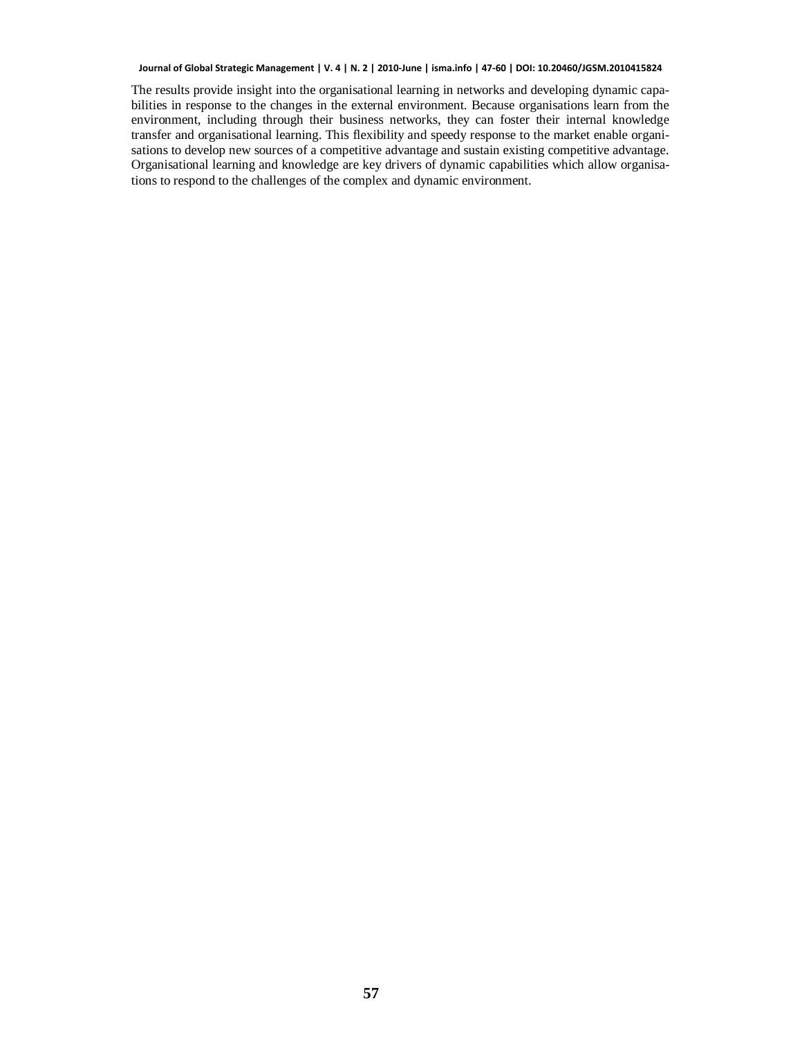The results provide insight into the organisational learning in networks and developing dynamic capabilities in response to the changes in the external environment. Because organisations learn from the environment, including through their business networks, they can foster their internal knowledge transfer and organisational learning. This flexibility and speedy response to the market enable organisations to develop new sources of a competitive advantage and sustain existing competitive advantage. Organisational learning and knowledge are key drivers of dynamic capabilities which allow organisations to respond to the challenges of the complex and dynamic environment.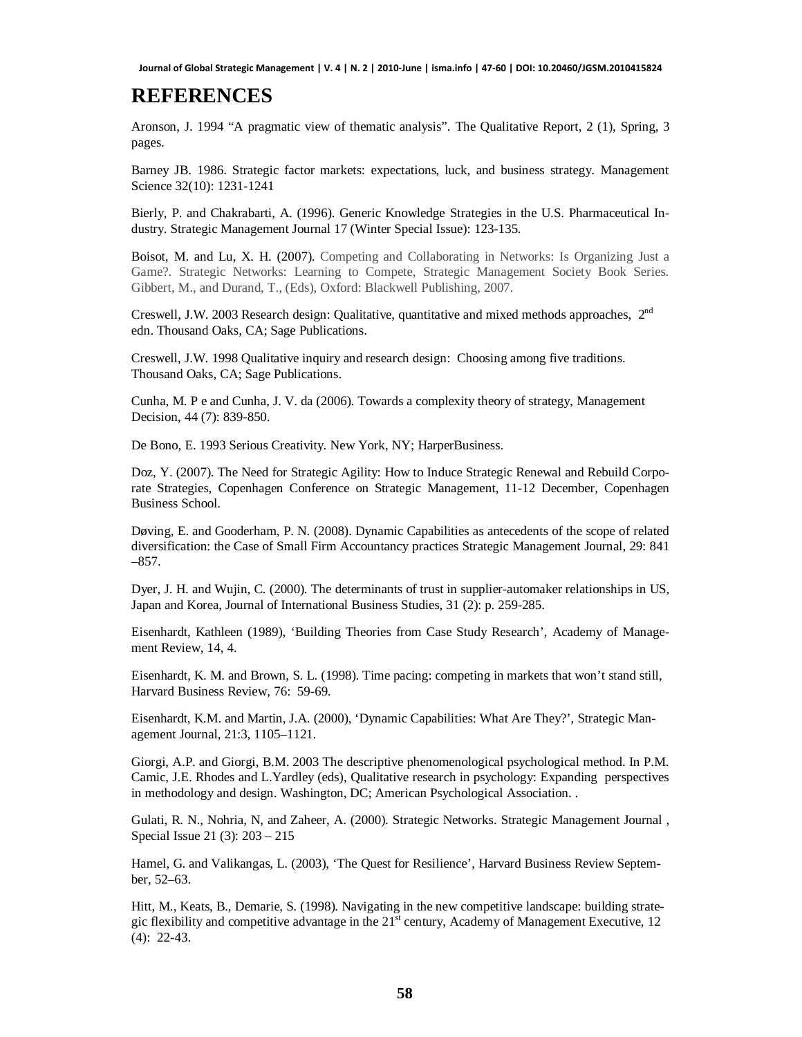# **REFERENCES**

Aronson, J. 1994 "A pragmatic view of thematic analysis". The Qualitative Report, 2 (1), Spring, 3 pages.

Barney JB. 1986. Strategic factor markets: expectations, luck, and business strategy. Management Science 32(10): 1231-1241

Bierly, P. and Chakrabarti, A. (1996). Generic Knowledge Strategies in the U.S. Pharmaceutical Industry. Strategic Management Journal 17 (Winter Special Issue): 123-135.

Boisot, M. and Lu, X. H. (2007). Competing and Collaborating in Networks: Is Organizing Just a Game?. Strategic Networks: Learning to Compete, Strategic Management Society Book Series. Gibbert, M., and Durand, T., (Eds), Oxford: Blackwell Publishing, 2007.

Creswell, J.W. 2003 Research design: Qualitative, quantitative and mixed methods approaches, 2nd edn. Thousand Oaks, CA; Sage Publications.

Creswell, J.W. 1998 Qualitative inquiry and research design: Choosing among five traditions. Thousand Oaks, CA; Sage Publications.

Cunha, M. P e and Cunha, J. V. da (2006). Towards a complexity theory of strategy, Management Decision, 44 (7): 839-850.

De Bono, E. 1993 Serious Creativity. New York, NY; HarperBusiness.

Doz, Y. (2007). The Need for Strategic Agility: How to Induce Strategic Renewal and Rebuild Corporate Strategies, Copenhagen Conference on Strategic Management, 11-12 December, Copenhagen Business School.

Døving, E. and Gooderham, P. N. (2008). Dynamic Capabilities as antecedents of the scope of related diversification: the Case of Small Firm Accountancy practices Strategic Management Journal, 29: 841 –857.

Dyer, J. H. and Wujin, C. (2000). The determinants of trust in supplier-automaker relationships in US, Japan and Korea, Journal of International Business Studies, 31 (2): p. 259-285.

Eisenhardt, Kathleen (1989), 'Building Theories from Case Study Research', Academy of Management Review, 14, 4.

Eisenhardt, K. M. and Brown, S. L. (1998). Time pacing: competing in markets that won't stand still, Harvard Business Review, 76: 59-69.

Eisenhardt, K.M. and Martin, J.A. (2000), 'Dynamic Capabilities: What Are They?', Strategic Management Journal, 21:3, 1105–1121.

Giorgi, A.P. and Giorgi, B.M. 2003 The descriptive phenomenological psychological method. In P.M. Camic, J.E. Rhodes and L.Yardley (eds), Qualitative research in psychology: Expanding perspectives in methodology and design. Washington, DC; American Psychological Association. .

Gulati, R. N., Nohria, N, and Zaheer, A. (2000). Strategic Networks. Strategic Management Journal , Special Issue 21 (3): 203 – 215

Hamel, G. and Valikangas, L. (2003), 'The Quest for Resilience', Harvard Business Review September, 52–63.

Hitt, M., Keats, B., Demarie, S. (1998). Navigating in the new competitive landscape: building strategic flexibility and competitive advantage in the  $21<sup>st</sup>$  century, Academy of Management Executive, 12 (4): 22-43.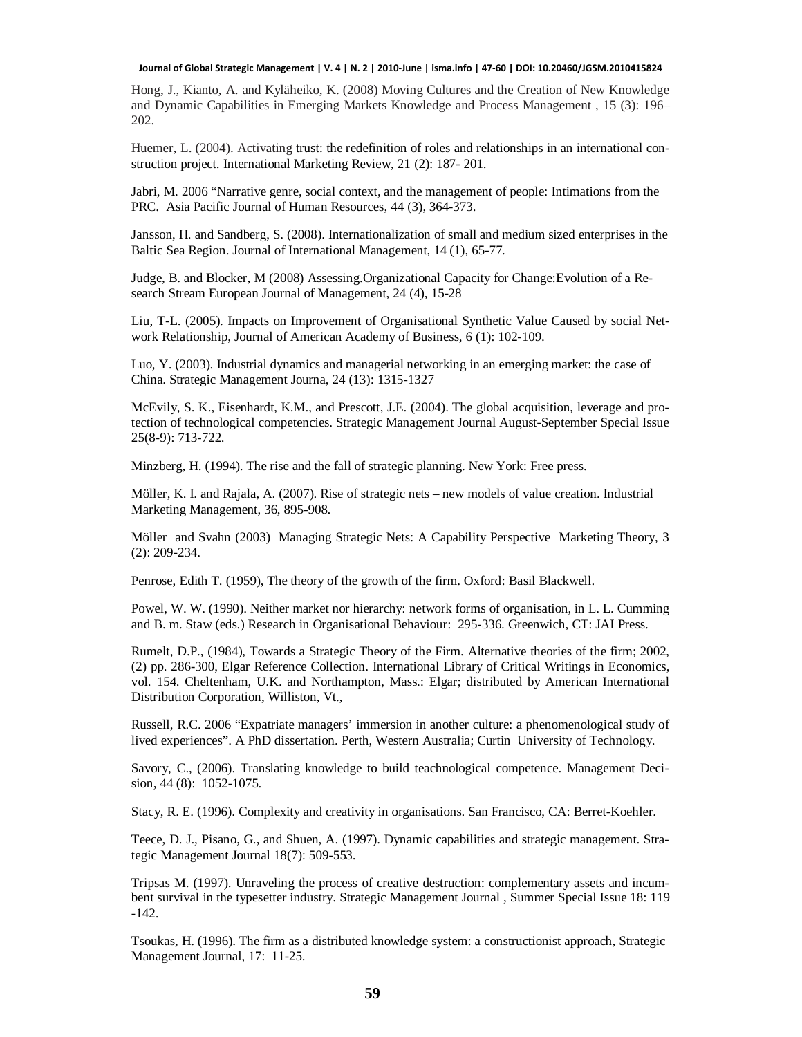Hong, J., Kianto, A. and Kyläheiko, K. (2008) Moving Cultures and the Creation of New Knowledge and Dynamic Capabilities in Emerging Markets Knowledge and Process Management , 15 (3): 196– 202.

Huemer, L. (2004). Activating trust: the redefinition of roles and relationships in an international construction project. International Marketing Review, 21 (2): 187- 201.

Jabri, M. 2006 "Narrative genre, social context, and the management of people: Intimations from the PRC. Asia Pacific Journal of Human Resources, 44 (3), 364-373.

Jansson, H. and Sandberg, S. (2008). Internationalization of small and medium sized enterprises in the Baltic Sea Region. Journal of International Management, 14 (1), 65-77.

Judge, B. and Blocker, M (2008) Assessing.Organizational Capacity for Change:Evolution of a Research Stream European Journal of Management, 24 (4), 15-28

Liu, T-L. (2005). Impacts on Improvement of Organisational Synthetic Value Caused by social Network Relationship, Journal of American Academy of Business, 6 (1): 102-109.

Luo, Y. (2003). Industrial dynamics and managerial networking in an emerging market: the case of China. Strategic Management Journa, 24 (13): 1315-1327

McEvily, S. K., Eisenhardt, K.M., and Prescott, J.E. (2004). The global acquisition, leverage and protection of technological competencies. Strategic Management Journal August-September Special Issue 25(8-9): 713-722.

Minzberg, H. (1994). The rise and the fall of strategic planning. New York: Free press.

Möller, K. I. and Rajala, A. (2007). Rise of strategic nets – new models of value creation. Industrial Marketing Management, 36, 895-908.

Möller and Svahn (2003) Managing Strategic Nets: A Capability Perspective Marketing Theory, 3 (2): 209-234.

Penrose, Edith T. (1959), The theory of the growth of the firm. Oxford: Basil Blackwell.

Powel, W. W. (1990). Neither market nor hierarchy: network forms of organisation, in L. L. Cumming and B. m. Staw (eds.) Research in Organisational Behaviour: 295-336. Greenwich, CT: JAI Press.

Rumelt, D.P., (1984), Towards a Strategic Theory of the Firm. Alternative theories of the firm; 2002, (2) pp. 286-300, Elgar Reference Collection. International Library of Critical Writings in Economics, vol. 154. Cheltenham, U.K. and Northampton, Mass.: Elgar; distributed by American International Distribution Corporation, Williston, Vt.,

Russell, R.C. 2006 "Expatriate managers' immersion in another culture: a phenomenological study of lived experiences". A PhD dissertation. Perth, Western Australia; Curtin University of Technology.

Savory, C., (2006). Translating knowledge to build teachnological competence. Management Decision, 44 (8): 1052-1075.

Stacy, R. E. (1996). Complexity and creativity in organisations. San Francisco, CA: Berret-Koehler.

Teece, D. J., Pisano, G., and Shuen, A. (1997). Dynamic capabilities and strategic management. Strategic Management Journal 18(7): 509-553.

Tripsas M. (1997). Unraveling the process of creative destruction: complementary assets and incumbent survival in the typesetter industry. Strategic Management Journal , Summer Special Issue 18: 119 -142.

Tsoukas, H. (1996). The firm as a distributed knowledge system: a constructionist approach, Strategic Management Journal, 17: 11-25.